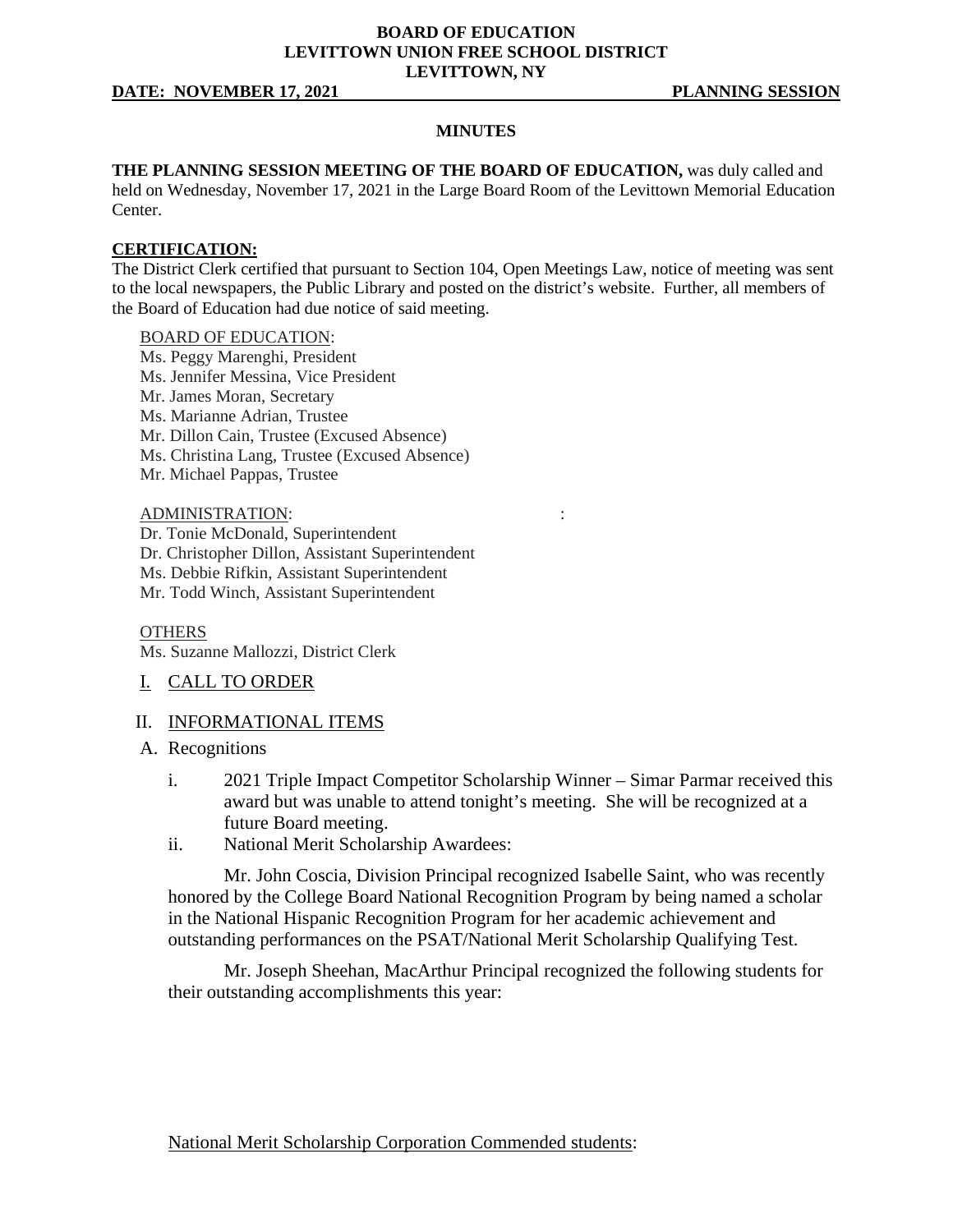## **BOARD OF EDUCATION LEVITTOWN UNION FREE SCHOOL DISTRICT LEVITTOWN, NY**

## **DATE: NOVEMBER 17, 2021 PLANNING SESSION**

#### **MINUTES**

**THE PLANNING SESSION MEETING OF THE BOARD OF EDUCATION,** was duly called and held on Wednesday, November 17, 2021 in the Large Board Room of the Levittown Memorial Education Center.

## **CERTIFICATION:**

The District Clerk certified that pursuant to Section 104, Open Meetings Law, notice of meeting was sent to the local newspapers, the Public Library and posted on the district's website. Further, all members of the Board of Education had due notice of said meeting.

#### BOARD OF EDUCATION:

- Ms. Peggy Marenghi, President Ms. Jennifer Messina, Vice President Mr. James Moran, Secretary Ms. Marianne Adrian, Trustee Mr. Dillon Cain, Trustee (Excused Absence)
- Ms. Christina Lang, Trustee (Excused Absence)
- Mr. Michael Pappas, Trustee

# ADMINISTRATION: :

- Dr. Tonie McDonald, Superintendent
- Dr. Christopher Dillon, Assistant Superintendent
- Ms. Debbie Rifkin, Assistant Superintendent
- Mr. Todd Winch, Assistant Superintendent

#### **OTHERS**

Ms. Suzanne Mallozzi, District Clerk

I. CALL TO ORDER

## II. INFORMATIONAL ITEMS

- A. Recognitions
	- i. 2021 Triple Impact Competitor Scholarship Winner Simar Parmar received this award but was unable to attend tonight's meeting. She will be recognized at a future Board meeting.
	- ii. National Merit Scholarship Awardees:

Mr. John Coscia, Division Principal recognized Isabelle Saint, who was recently honored by the College Board National Recognition Program by being named a scholar in the National Hispanic Recognition Program for her academic achievement and outstanding performances on the PSAT/National Merit Scholarship Qualifying Test.

Mr. Joseph Sheehan, MacArthur Principal recognized the following students for their outstanding accomplishments this year:

National Merit Scholarship Corporation Commended students: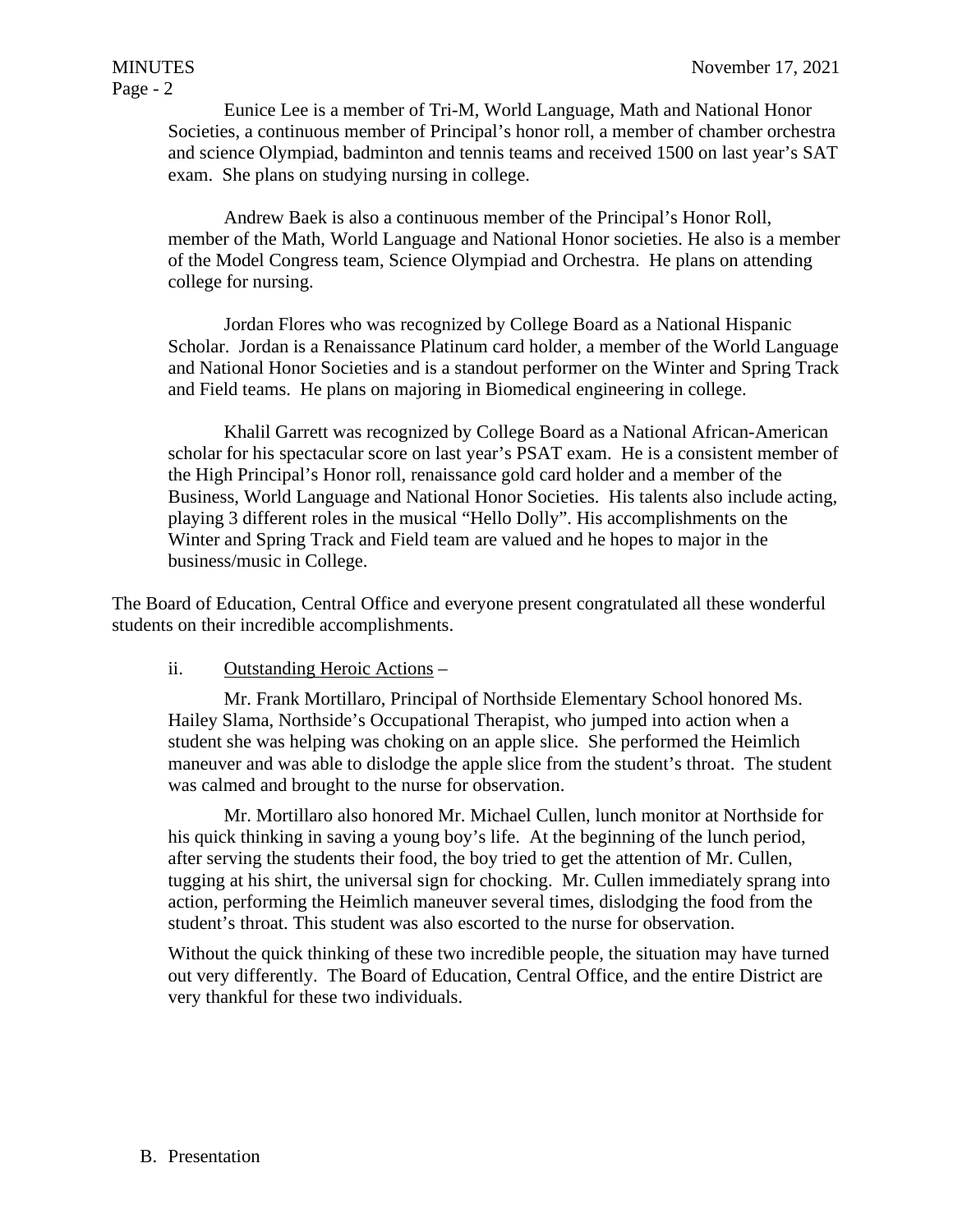Eunice Lee is a member of Tri-M, World Language, Math and National Honor Societies, a continuous member of Principal's honor roll, a member of chamber orchestra and science Olympiad, badminton and tennis teams and received 1500 on last year's SAT exam. She plans on studying nursing in college.

Andrew Baek is also a continuous member of the Principal's Honor Roll, member of the Math, World Language and National Honor societies. He also is a member of the Model Congress team, Science Olympiad and Orchestra. He plans on attending college for nursing.

Jordan Flores who was recognized by College Board as a National Hispanic Scholar. Jordan is a Renaissance Platinum card holder, a member of the World Language and National Honor Societies and is a standout performer on the Winter and Spring Track and Field teams. He plans on majoring in Biomedical engineering in college.

Khalil Garrett was recognized by College Board as a National African-American scholar for his spectacular score on last year's PSAT exam. He is a consistent member of the High Principal's Honor roll, renaissance gold card holder and a member of the Business, World Language and National Honor Societies. His talents also include acting, playing 3 different roles in the musical "Hello Dolly". His accomplishments on the Winter and Spring Track and Field team are valued and he hopes to major in the business/music in College.

The Board of Education, Central Office and everyone present congratulated all these wonderful students on their incredible accomplishments.

# ii. Outstanding Heroic Actions –

Mr. Frank Mortillaro, Principal of Northside Elementary School honored Ms. Hailey Slama, Northside's Occupational Therapist, who jumped into action when a student she was helping was choking on an apple slice. She performed the Heimlich maneuver and was able to dislodge the apple slice from the student's throat. The student was calmed and brought to the nurse for observation.

Mr. Mortillaro also honored Mr. Michael Cullen, lunch monitor at Northside for his quick thinking in saving a young boy's life. At the beginning of the lunch period, after serving the students their food, the boy tried to get the attention of Mr. Cullen, tugging at his shirt, the universal sign for chocking. Mr. Cullen immediately sprang into action, performing the Heimlich maneuver several times, dislodging the food from the student's throat. This student was also escorted to the nurse for observation.

Without the quick thinking of these two incredible people, the situation may have turned out very differently. The Board of Education, Central Office, and the entire District are very thankful for these two individuals.

# B. Presentation